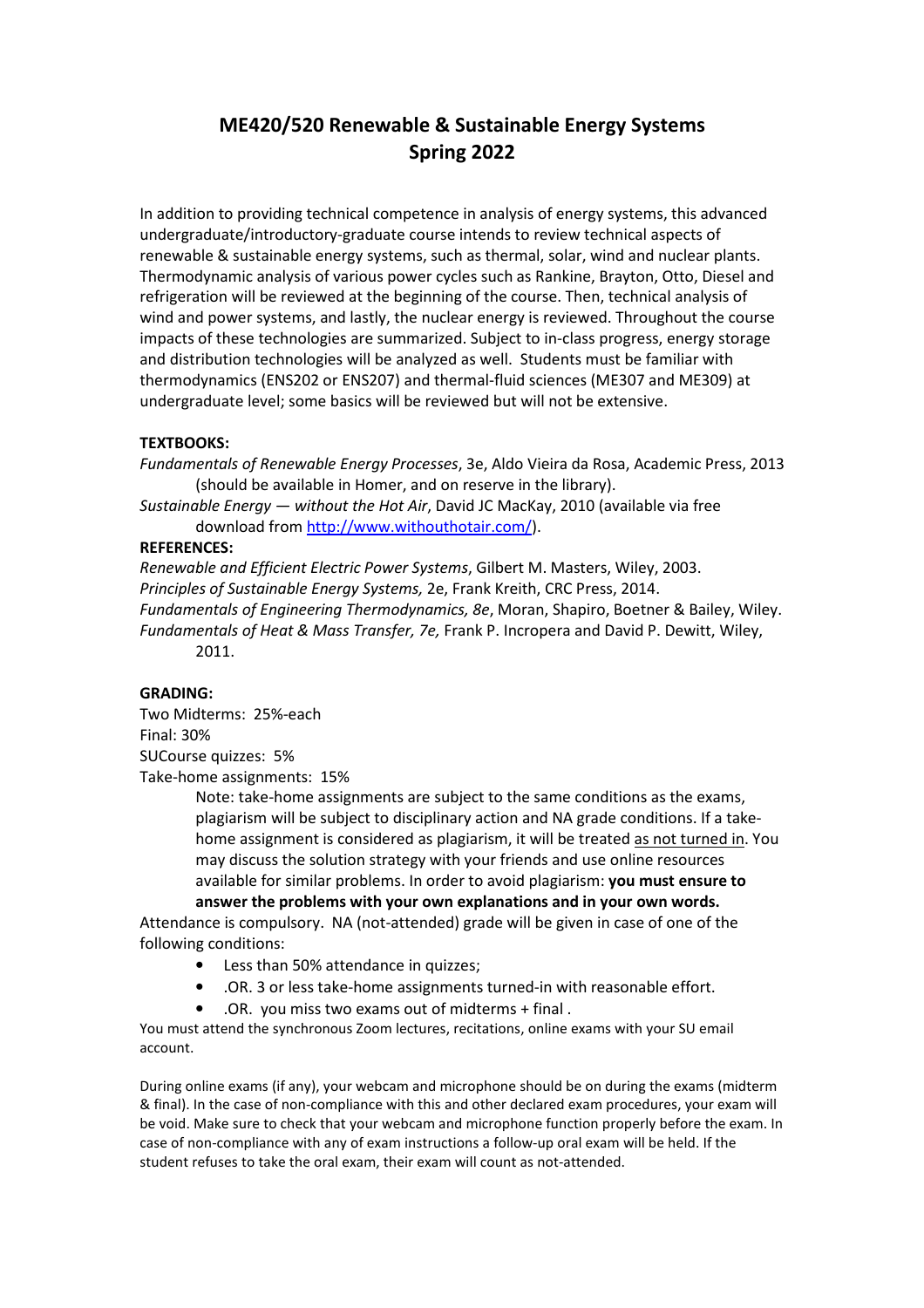# **ME420/520 Renewable & Sustainable Energy Systems Spring 2022**

In addition to providing technical competence in analysis of energy systems, this advanced undergraduate/introductory-graduate course intends to review technical aspects of renewable & sustainable energy systems, such as thermal, solar, wind and nuclear plants. Thermodynamic analysis of various power cycles such as Rankine, Brayton, Otto, Diesel and refrigeration will be reviewed at the beginning of the course. Then, technical analysis of wind and power systems, and lastly, the nuclear energy is reviewed. Throughout the course impacts of these technologies are summarized. Subject to in-class progress, energy storage and distribution technologies will be analyzed as well. Students must be familiar with thermodynamics (ENS202 or ENS207) and thermal-fluid sciences (ME307 and ME309) at undergraduate level; some basics will be reviewed but will not be extensive.

## **TEXTBOOKS:**

*Fundamentals of Renewable Energy Processes*, 3e, Aldo Vieira da Rosa, Academic Press, 2013 (should be available in Homer, and on reserve in the library).

*Sustainable Energy — without the Hot Air*, David JC MacKay, 2010 (available via free download from http://www.withouthotair.com/).

### **REFERENCES:**

*Renewable and Efficient Electric Power Systems*, Gilbert M. Masters, Wiley, 2003. *Principles of Sustainable Energy Systems,* 2e, Frank Kreith, CRC Press, 2014. *Fundamentals of Engineering Thermodynamics, 8e*, Moran, Shapiro, Boetner & Bailey, Wiley. *Fundamentals of Heat & Mass Transfer, 7e,* Frank P. Incropera and David P. Dewitt, Wiley, 2011.

### **GRADING:**

Two Midterms: 25%-each Final: 30% SUCourse quizzes: 5% Take-home assignments: 15%

> Note: take-home assignments are subject to the same conditions as the exams, plagiarism will be subject to disciplinary action and NA grade conditions. If a takehome assignment is considered as plagiarism, it will be treated as not turned in. You may discuss the solution strategy with your friends and use online resources available for similar problems. In order to avoid plagiarism: **you must ensure to answer the problems with your own explanations and in your own words.**

Attendance is compulsory. NA (not-attended) grade will be given in case of one of the following conditions:

- Less than 50% attendance in quizzes;
- .OR. 3 or less take-home assignments turned-in with reasonable effort.
- .OR. you miss two exams out of midterms + final .

You must attend the synchronous Zoom lectures, recitations, online exams with your SU email account.

During online exams (if any), your webcam and microphone should be on during the exams (midterm & final). In the case of non-compliance with this and other declared exam procedures, your exam will be void. Make sure to check that your webcam and microphone function properly before the exam. In case of non-compliance with any of exam instructions a follow-up oral exam will be held. If the student refuses to take the oral exam, their exam will count as not-attended.